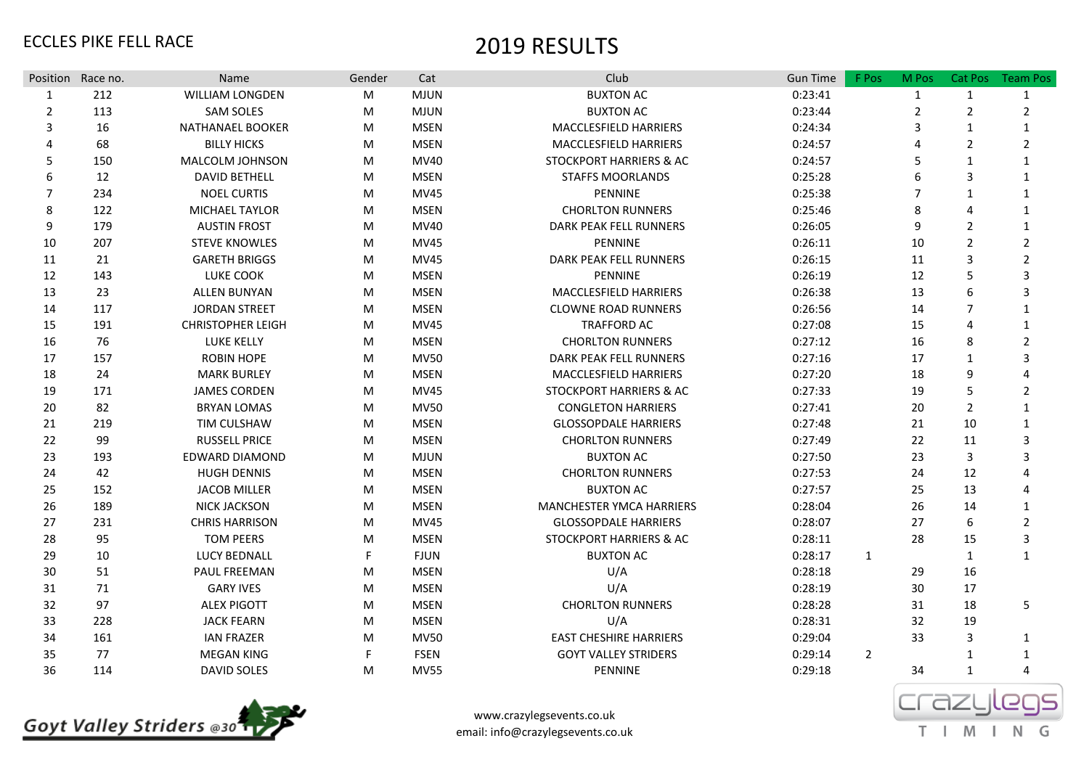| Position Race no. |     | Name                     | Gender | Cat         | Club                               | <b>Gun Time</b> | F Pos          | M Pos          | Cat Pos        | <b>Team Pos</b> |
|-------------------|-----|--------------------------|--------|-------------|------------------------------------|-----------------|----------------|----------------|----------------|-----------------|
| 1                 | 212 | WILLIAM LONGDEN          | M      | <b>MJUN</b> | <b>BUXTON AC</b>                   | 0:23:41         |                | $\mathbf{1}$   | $\mathbf{1}$   | $\mathbf{1}$    |
| 2                 | 113 | <b>SAM SOLES</b>         | M      | <b>MJUN</b> | <b>BUXTON AC</b>                   | 0:23:44         |                | $\overline{2}$ | $\overline{2}$ | $\overline{2}$  |
| 3                 | 16  | NATHANAEL BOOKER         | M      | <b>MSEN</b> | MACCLESFIELD HARRIERS              | 0:24:34         |                | 3              | $\mathbf{1}$   | 1               |
| 4                 | 68  | <b>BILLY HICKS</b>       | M      | <b>MSEN</b> | MACCLESFIELD HARRIERS              | 0:24:57         |                |                | $\overline{2}$ | $\overline{2}$  |
| 5                 | 150 | MALCOLM JOHNSON          | M      | MV40        | <b>STOCKPORT HARRIERS &amp; AC</b> | 0:24:57         |                | 5              | $\mathbf{1}$   | 1               |
| 6                 | 12  | <b>DAVID BETHELL</b>     | M      | <b>MSEN</b> | <b>STAFFS MOORLANDS</b>            | 0:25:28         |                | 6              | 3              | 1               |
| $\overline{7}$    | 234 | <b>NOEL CURTIS</b>       | M      | <b>MV45</b> | <b>PENNINE</b>                     | 0:25:38         |                | 7              | $\mathbf{1}$   | 1               |
| 8                 | 122 | MICHAEL TAYLOR           | M      | <b>MSEN</b> | <b>CHORLTON RUNNERS</b>            | 0:25:46         |                | 8              | $\overline{a}$ | 1               |
| 9                 | 179 | <b>AUSTIN FROST</b>      | M      | <b>MV40</b> | DARK PEAK FELL RUNNERS             | 0:26:05         |                | 9              | $\overline{2}$ | 1               |
| 10                | 207 | <b>STEVE KNOWLES</b>     | M      | <b>MV45</b> | <b>PENNINE</b>                     | 0:26:11         |                | 10             | $\overline{2}$ | $\overline{2}$  |
| 11                | 21  | <b>GARETH BRIGGS</b>     | M      | <b>MV45</b> | <b>DARK PEAK FELL RUNNERS</b>      | 0:26:15         |                | 11             | $\overline{3}$ | $\overline{2}$  |
| 12                | 143 | <b>LUKE COOK</b>         | M      | <b>MSEN</b> | PENNINE                            | 0:26:19         |                | 12             | 5              | 3               |
| 13                | 23  | <b>ALLEN BUNYAN</b>      | M      | <b>MSEN</b> | <b>MACCLESFIELD HARRIERS</b>       | 0:26:38         |                | 13             | 6              | 3               |
| 14                | 117 | <b>JORDAN STREET</b>     | M      | <b>MSEN</b> | <b>CLOWNE ROAD RUNNERS</b>         | 0:26:56         |                | 14             | $\overline{7}$ | 1               |
| 15                | 191 | <b>CHRISTOPHER LEIGH</b> | M      | <b>MV45</b> | <b>TRAFFORD AC</b>                 | 0:27:08         |                | 15             | 4              | 1               |
| 16                | 76  | <b>LUKE KELLY</b>        | M      | <b>MSEN</b> | <b>CHORLTON RUNNERS</b>            | 0:27:12         |                | 16             | 8              | $\overline{2}$  |
| 17                | 157 | <b>ROBIN HOPE</b>        | M      | <b>MV50</b> | DARK PEAK FELL RUNNERS             | 0:27:16         |                | 17             | 1              | 3               |
| 18                | 24  | <b>MARK BURLEY</b>       | M      | <b>MSEN</b> | <b>MACCLESFIELD HARRIERS</b>       | 0:27:20         |                | 18             | 9              | Δ               |
| 19                | 171 | <b>JAMES CORDEN</b>      | M      | <b>MV45</b> | STOCKPORT HARRIERS & AC            | 0:27:33         |                | 19             | 5              | $\overline{2}$  |
| 20                | 82  | <b>BRYAN LOMAS</b>       | M      | <b>MV50</b> | <b>CONGLETON HARRIERS</b>          | 0:27:41         |                | 20             | $\overline{2}$ | 1               |
| 21                | 219 | TIM CULSHAW              | M      | <b>MSEN</b> | <b>GLOSSOPDALE HARRIERS</b>        | 0:27:48         |                | 21             | 10             | 1               |
| 22                | 99  | <b>RUSSELL PRICE</b>     | M      | <b>MSEN</b> | <b>CHORLTON RUNNERS</b>            | 0:27:49         |                | 22             | 11             | 3               |
| 23                | 193 | EDWARD DIAMOND           | M      | <b>MJUN</b> | <b>BUXTON AC</b>                   | 0:27:50         |                | 23             | 3              | κ               |
| 24                | 42  | <b>HUGH DENNIS</b>       | M      | <b>MSEN</b> | <b>CHORLTON RUNNERS</b>            | 0:27:53         |                | 24             | 12             | Δ               |
| 25                | 152 | <b>JACOB MILLER</b>      | M      | <b>MSEN</b> | <b>BUXTON AC</b>                   | 0:27:57         |                | 25             | 13             | Δ               |
| 26                | 189 | <b>NICK JACKSON</b>      | M      | <b>MSEN</b> | <b>MANCHESTER YMCA HARRIERS</b>    | 0:28:04         |                | 26             | 14             | 1               |
| 27                | 231 | <b>CHRIS HARRISON</b>    | M      | <b>MV45</b> | <b>GLOSSOPDALE HARRIERS</b>        | 0:28:07         |                | 27             | 6              | $\overline{2}$  |
| 28                | 95  | <b>TOM PEERS</b>         | M      | <b>MSEN</b> | <b>STOCKPORT HARRIERS &amp; AC</b> | 0:28:11         |                | 28             | 15             | 3               |
| 29                | 10  | <b>LUCY BEDNALL</b>      | F      | <b>FJUN</b> | <b>BUXTON AC</b>                   | 0:28:17         | $\mathbf{1}$   |                | $\mathbf{1}$   | $\mathbf{1}$    |
| 30                | 51  | PAUL FREEMAN             | М      | <b>MSEN</b> | U/A                                | 0:28:18         |                | 29             | 16             |                 |
| 31                | 71  | <b>GARY IVES</b>         | M      | <b>MSEN</b> | U/A                                | 0:28:19         |                | 30             | 17             |                 |
| 32                | 97  | <b>ALEX PIGOTT</b>       | M      | <b>MSEN</b> | <b>CHORLTON RUNNERS</b>            | 0:28:28         |                | 31             | 18             | 5               |
| 33                | 228 | <b>JACK FEARN</b>        | M      | <b>MSEN</b> | U/A                                | 0:28:31         |                | 32             | 19             |                 |
| 34                | 161 | <b>IAN FRAZER</b>        | M      | <b>MV50</b> | <b>EAST CHESHIRE HARRIERS</b>      | 0:29:04         |                | 33             | 3              | $\mathbf{1}$    |
| 35                | 77  | <b>MEGAN KING</b>        | F      | <b>FSEN</b> | <b>GOYT VALLEY STRIDERS</b>        | 0:29:14         | $\overline{2}$ |                | 1              | 1               |
| 36                | 114 | DAVID SOLES              | M      | <b>MV55</b> | PENNINE                            | 0:29:18         |                | 34             | $\mathbf{1}$   | 4               |



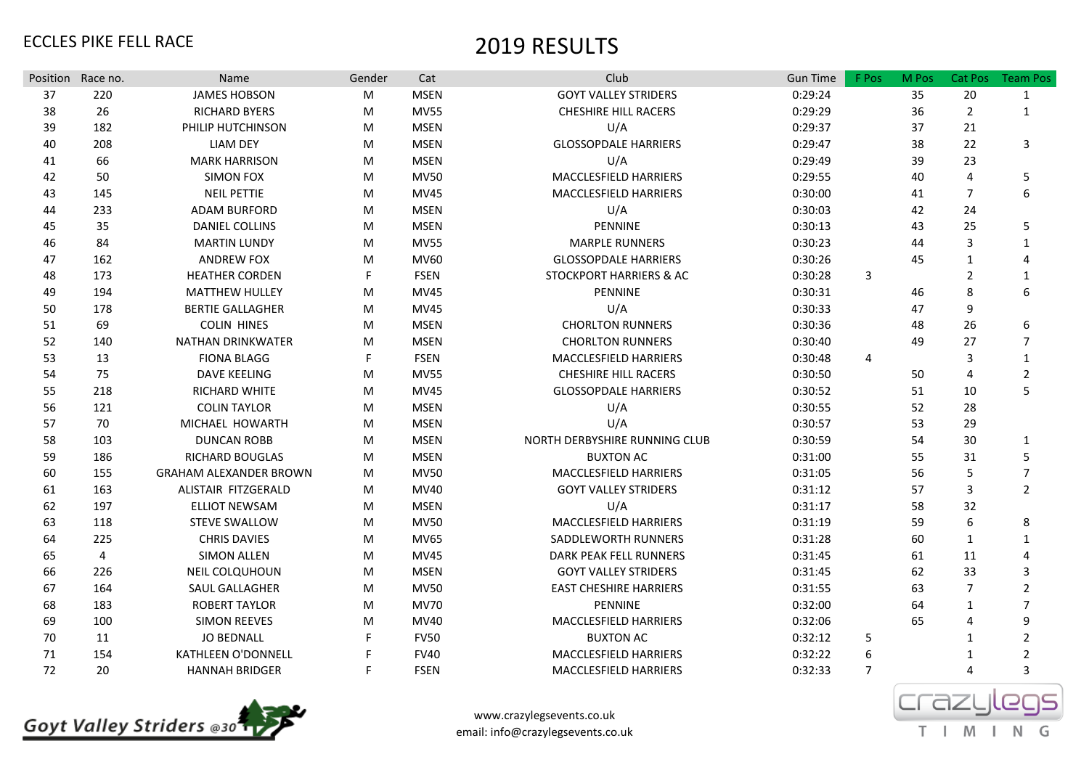| Position | Race no. | Name                          | Gender | Cat         | Club                          | <b>Gun Time</b> | F Pos | M Pos | Cat Pos        | <b>Team Pos</b> |
|----------|----------|-------------------------------|--------|-------------|-------------------------------|-----------------|-------|-------|----------------|-----------------|
| 37       | 220      | <b>JAMES HOBSON</b>           | M      | <b>MSEN</b> | <b>GOYT VALLEY STRIDERS</b>   | 0:29:24         |       | 35    | 20             | $\mathbf{1}$    |
| 38       | 26       | <b>RICHARD BYERS</b>          | M      | <b>MV55</b> | <b>CHESHIRE HILL RACERS</b>   | 0:29:29         |       | 36    | $\overline{2}$ | $\mathbf{1}$    |
| 39       | 182      | PHILIP HUTCHINSON             | M      | <b>MSEN</b> | U/A                           | 0:29:37         |       | 37    | 21             |                 |
| 40       | 208      | <b>LIAM DEY</b>               | M      | <b>MSEN</b> | <b>GLOSSOPDALE HARRIERS</b>   | 0:29:47         |       | 38    | 22             | 3               |
| 41       | 66       | <b>MARK HARRISON</b>          | M      | <b>MSEN</b> | U/A                           | 0:29:49         |       | 39    | 23             |                 |
| 42       | 50       | <b>SIMON FOX</b>              | M      | <b>MV50</b> | MACCLESFIELD HARRIERS         | 0:29:55         |       | 40    | 4              | 5               |
| 43       | 145      | <b>NEIL PETTIE</b>            | M      | <b>MV45</b> | MACCLESFIELD HARRIERS         | 0:30:00         |       | 41    | $\overline{7}$ | 6               |
| 44       | 233      | <b>ADAM BURFORD</b>           | м      | <b>MSEN</b> | U/A                           | 0:30:03         |       | 42    | 24             |                 |
| 45       | 35       | <b>DANIEL COLLINS</b>         | M      | <b>MSEN</b> | PENNINE                       | 0:30:13         |       | 43    | 25             | 5               |
| 46       | 84       | <b>MARTIN LUNDY</b>           | M      | <b>MV55</b> | <b>MARPLE RUNNERS</b>         | 0:30:23         |       | 44    | 3              | 1               |
| 47       | 162      | <b>ANDREW FOX</b>             | M      | <b>MV60</b> | <b>GLOSSOPDALE HARRIERS</b>   | 0:30:26         |       | 45    | 1              | 4               |
| 48       | 173      | <b>HEATHER CORDEN</b>         |        | <b>FSEN</b> | STOCKPORT HARRIERS & AC       | 0:30:28         | 3     |       | $\overline{2}$ | 1               |
| 49       | 194      | <b>MATTHEW HULLEY</b>         | м      | <b>MV45</b> | PENNINE                       | 0:30:31         |       | 46    | 8              | 6               |
| 50       | 178      | <b>BERTIE GALLAGHER</b>       | M      | <b>MV45</b> | U/A                           | 0:30:33         |       | 47    | 9              |                 |
| 51       | 69       | <b>COLIN HINES</b>            | M      | <b>MSEN</b> | <b>CHORLTON RUNNERS</b>       | 0:30:36         |       | 48    | 26             | 6               |
| 52       | 140      | <b>NATHAN DRINKWATER</b>      | M      | <b>MSEN</b> | <b>CHORLTON RUNNERS</b>       | 0:30:40         |       | 49    | 27             | $\overline{7}$  |
| 53       | 13       | <b>FIONA BLAGG</b>            |        | <b>FSEN</b> | MACCLESFIELD HARRIERS         | 0:30:48         | 4     |       | 3              | $\mathbf{1}$    |
| 54       | 75       | <b>DAVE KEELING</b>           | м      | <b>MV55</b> | <b>CHESHIRE HILL RACERS</b>   | 0:30:50         |       | 50    | 4              | $\overline{2}$  |
| 55       | 218      | <b>RICHARD WHITE</b>          | M      | <b>MV45</b> | <b>GLOSSOPDALE HARRIERS</b>   | 0:30:52         |       | 51    | 10             | 5               |
| 56       | 121      | <b>COLIN TAYLOR</b>           | M      | <b>MSEN</b> | U/A                           | 0:30:55         |       | 52    | 28             |                 |
| 57       | 70       | MICHAEL HOWARTH               | M      | <b>MSEN</b> | U/A                           | 0:30:57         |       | 53    | 29             |                 |
| 58       | 103      | <b>DUNCAN ROBB</b>            | M      | <b>MSEN</b> | NORTH DERBYSHIRE RUNNING CLUB | 0:30:59         |       | 54    | 30             | $\mathbf{1}$    |
| 59       | 186      | <b>RICHARD BOUGLAS</b>        | M      | <b>MSEN</b> | <b>BUXTON AC</b>              | 0:31:00         |       | 55    | 31             | 5               |
| 60       | 155      | <b>GRAHAM ALEXANDER BROWN</b> | M      | <b>MV50</b> | <b>MACCLESFIELD HARRIERS</b>  | 0:31:05         |       | 56    | 5              | $\overline{7}$  |
| 61       | 163      | ALISTAIR FITZGERALD           | M      | MV40        | <b>GOYT VALLEY STRIDERS</b>   | 0:31:12         |       | 57    | 3              | $\overline{2}$  |
| 62       | 197      | <b>ELLIOT NEWSAM</b>          | M      | <b>MSEN</b> | U/A                           | 0:31:17         |       | 58    | 32             |                 |
| 63       | 118      | STEVE SWALLOW                 | M      | <b>MV50</b> | MACCLESFIELD HARRIERS         | 0:31:19         |       | 59    | 6              | 8               |
| 64       | 225      | <b>CHRIS DAVIES</b>           | M      | <b>MV65</b> | SADDLEWORTH RUNNERS           | 0:31:28         |       | 60    | $\mathbf{1}$   | $\mathbf{1}$    |
| 65       | 4        | <b>SIMON ALLEN</b>            | M      | <b>MV45</b> | DARK PEAK FELL RUNNERS        | 0:31:45         |       | 61    | 11             |                 |
| 66       | 226      | <b>NEIL COLQUHOUN</b>         | M      | <b>MSEN</b> | <b>GOYT VALLEY STRIDERS</b>   | 0:31:45         |       | 62    | 33             |                 |
| 67       | 164      | SAUL GALLAGHER                | M      | <b>MV50</b> | <b>EAST CHESHIRE HARRIERS</b> | 0:31:55         |       | 63    | 7              |                 |
| 68       | 183      | <b>ROBERT TAYLOR</b>          | M      | <b>MV70</b> | <b>PENNINE</b>                | 0:32:00         |       | 64    | 1              |                 |
| 69       | 100      | <b>SIMON REEVES</b>           | M      | <b>MV40</b> | MACCLESFIELD HARRIERS         | 0:32:06         |       | 65    | $\Delta$       | 9               |
| 70       | 11       | <b>JO BEDNALL</b>             |        | <b>FV50</b> | <b>BUXTON AC</b>              | 0:32:12         | 5     |       | 1              |                 |
| 71       | 154      | <b>KATHLEEN O'DONNELL</b>     |        | <b>FV40</b> | MACCLESFIELD HARRIERS         | 0:32:22         | 6     |       |                |                 |
| 72       | 20       | <b>HANNAH BRIDGER</b>         | F      | <b>FSEN</b> | MACCLESFIELD HARRIERS         | 0:32:33         | 7     |       | 4              | 3               |



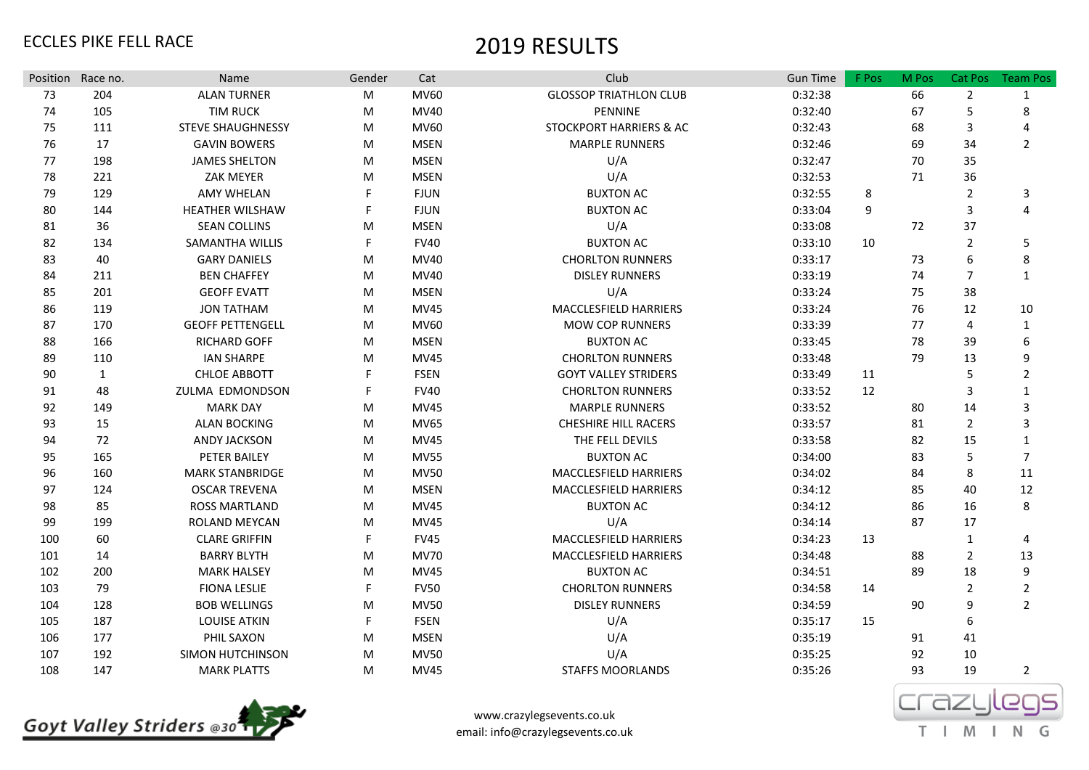| Position Race no. |              | Name                     | Gender | Cat         | Club                               | <b>Gun Time</b> | F Pos | M Pos | Cat Pos        | <b>Team Pos</b> |
|-------------------|--------------|--------------------------|--------|-------------|------------------------------------|-----------------|-------|-------|----------------|-----------------|
| 73                | 204          | <b>ALAN TURNER</b>       | М      | <b>MV60</b> | <b>GLOSSOP TRIATHLON CLUB</b>      | 0:32:38         |       | 66    | $\overline{2}$ | $\mathbf{1}$    |
| 74                | 105          | <b>TIM RUCK</b>          | M      | <b>MV40</b> | PENNINE                            | 0:32:40         |       | 67    | 5              | 8               |
| 75                | 111          | <b>STEVE SHAUGHNESSY</b> | M      | <b>MV60</b> | <b>STOCKPORT HARRIERS &amp; AC</b> | 0:32:43         |       | 68    | 3              | 4               |
| 76                | 17           | <b>GAVIN BOWERS</b>      | M      | <b>MSEN</b> | <b>MARPLE RUNNERS</b>              | 0:32:46         |       | 69    | 34             | $\overline{2}$  |
| 77                | 198          | <b>JAMES SHELTON</b>     | M      | <b>MSEN</b> | U/A                                | 0:32:47         |       | 70    | 35             |                 |
| 78                | 221          | <b>ZAK MEYER</b>         | M      | <b>MSEN</b> | U/A                                | 0:32:53         |       | 71    | 36             |                 |
| 79                | 129          | <b>AMY WHELAN</b>        |        | <b>FJUN</b> | <b>BUXTON AC</b>                   | 0:32:55         | 8     |       | $\overline{2}$ | 3               |
| 80                | 144          | <b>HEATHER WILSHAW</b>   |        | <b>FJUN</b> | <b>BUXTON AC</b>                   | 0:33:04         | 9     |       | 3              | 4               |
| 81                | 36           | <b>SEAN COLLINS</b>      | M      | <b>MSEN</b> | U/A                                | 0:33:08         |       | 72    | 37             |                 |
| 82                | 134          | <b>SAMANTHA WILLIS</b>   |        | <b>FV40</b> | <b>BUXTON AC</b>                   | 0:33:10         | 10    |       | $\overline{2}$ | 5               |
| 83                | 40           | <b>GARY DANIELS</b>      | M      | <b>MV40</b> | <b>CHORLTON RUNNERS</b>            | 0:33:17         |       | 73    | 6              | 8               |
| 84                | 211          | <b>BEN CHAFFEY</b>       | M      | <b>MV40</b> | <b>DISLEY RUNNERS</b>              | 0:33:19         |       | 74    | $\overline{7}$ | $\mathbf{1}$    |
| 85                | 201          | <b>GEOFF EVATT</b>       | M      | <b>MSEN</b> | U/A                                | 0:33:24         |       | 75    | 38             |                 |
| 86                | 119          | <b>JON TATHAM</b>        | M      | <b>MV45</b> | MACCLESFIELD HARRIERS              | 0:33:24         |       | 76    | 12             | 10              |
| 87                | 170          | <b>GEOFF PETTENGELL</b>  | M      | MV60        | <b>MOW COP RUNNERS</b>             | 0:33:39         |       | 77    | 4              | $\mathbf{1}$    |
| 88                | 166          | <b>RICHARD GOFF</b>      | M      | <b>MSEN</b> | <b>BUXTON AC</b>                   | 0:33:45         |       | 78    | 39             | 6               |
| 89                | 110          | <b>IAN SHARPE</b>        | M      | MV45        | <b>CHORLTON RUNNERS</b>            | 0:33:48         |       | 79    | 13             | 9               |
| 90                | $\mathbf{1}$ | <b>CHLOE ABBOTT</b>      | F      | <b>FSEN</b> | <b>GOYT VALLEY STRIDERS</b>        | 0:33:49         | 11    |       | 5              | $\overline{2}$  |
| 91                | 48           | <b>ZULMA EDMONDSON</b>   | F      | <b>FV40</b> | <b>CHORLTON RUNNERS</b>            | 0:33:52         | 12    |       | 3              | $\mathbf{1}$    |
| 92                | 149          | <b>MARK DAY</b>          | M      | <b>MV45</b> | <b>MARPLE RUNNERS</b>              | 0:33:52         |       | 80    | 14             | 3               |
| 93                | 15           | <b>ALAN BOCKING</b>      | M      | <b>MV65</b> | <b>CHESHIRE HILL RACERS</b>        | 0:33:57         |       | 81    | $\overline{2}$ | 3               |
| 94                | 72           | <b>ANDY JACKSON</b>      | M      | <b>MV45</b> | THE FELL DEVILS                    | 0:33:58         |       | 82    | 15             | 1               |
| 95                | 165          | PETER BAILEY             | M      | <b>MV55</b> | <b>BUXTON AC</b>                   | 0:34:00         |       | 83    | 5              | $\overline{7}$  |
| 96                | 160          | <b>MARK STANBRIDGE</b>   | M      | <b>MV50</b> | MACCLESFIELD HARRIERS              | 0:34:02         |       | 84    | 8              | 11              |
| 97                | 124          | <b>OSCAR TREVENA</b>     | M      | <b>MSEN</b> | MACCLESFIELD HARRIERS              | 0:34:12         |       | 85    | 40             | 12              |
| 98                | 85           | <b>ROSS MARTLAND</b>     | M      | MV45        | <b>BUXTON AC</b>                   | 0:34:12         |       | 86    | 16             | 8               |
| 99                | 199          | ROLAND MEYCAN            | м      | MV45        | U/A                                | 0:34:14         |       | 87    | 17             |                 |
| 100               | 60           | <b>CLARE GRIFFIN</b>     | F      | <b>FV45</b> | <b>MACCLESFIELD HARRIERS</b>       | 0:34:23         | 13    |       | $\mathbf{1}$   | 4               |
| 101               | 14           | <b>BARRY BLYTH</b>       | M      | <b>MV70</b> | MACCLESFIELD HARRIERS              | 0:34:48         |       | 88    | $\overline{2}$ | 13              |
| 102               | 200          | <b>MARK HALSEY</b>       | M      | <b>MV45</b> | <b>BUXTON AC</b>                   | 0:34:51         |       | 89    | 18             | 9               |
| 103               | 79           | <b>FIONA LESLIE</b>      | F      | <b>FV50</b> | <b>CHORLTON RUNNERS</b>            | 0:34:58         | 14    |       | $\overline{2}$ | $\overline{2}$  |
| 104               | 128          | <b>BOB WELLINGS</b>      | M      | <b>MV50</b> | <b>DISLEY RUNNERS</b>              | 0:34:59         |       | 90    | 9              | $\overline{2}$  |
| 105               | 187          | <b>LOUISE ATKIN</b>      | F      | <b>FSEN</b> | U/A                                | 0:35:17         | 15    |       | 6              |                 |
| 106               | 177          | PHIL SAXON               | M      | <b>MSEN</b> | U/A                                | 0:35:19         |       | 91    | 41             |                 |
| 107               | 192          | <b>SIMON HUTCHINSON</b>  | M      | <b>MV50</b> | U/A                                | 0:35:25         |       | 92    | 10             |                 |
| 108               | 147          | <b>MARK PLATTS</b>       | M      | MV45        | <b>STAFFS MOORLANDS</b>            | 0:35:26         |       | 93    | 19             | $\overline{2}$  |



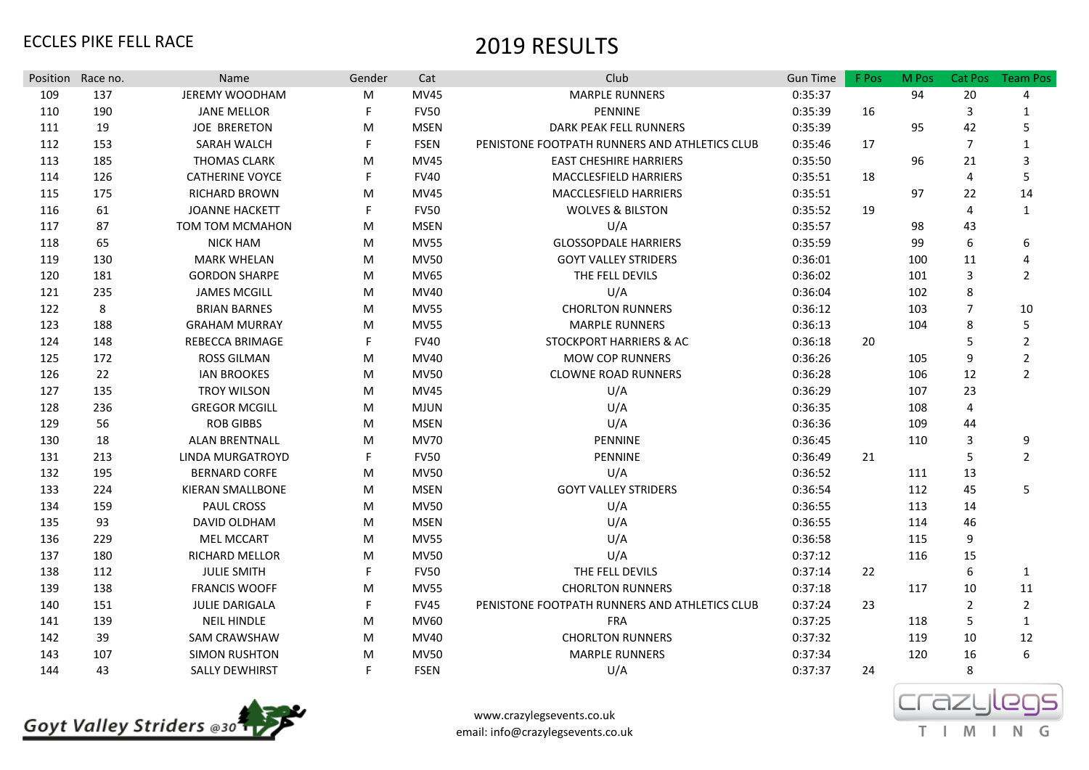|     | Position Race no. | Name                    | Gender | Cat         | Club                                          | <b>Gun Time</b> | F Pos | M Pos | Cat Pos        | <b>Team Pos</b> |
|-----|-------------------|-------------------------|--------|-------------|-----------------------------------------------|-----------------|-------|-------|----------------|-----------------|
| 109 | 137               | <b>JEREMY WOODHAM</b>   | M      | <b>MV45</b> | <b>MARPLE RUNNERS</b>                         | 0:35:37         |       | 94    | 20             | 4               |
| 110 | 190               | <b>JANE MELLOR</b>      | F      | <b>FV50</b> | PENNINE                                       | 0:35:39         | 16    |       | 3              | 1               |
| 111 | 19                | <b>JOE BRERETON</b>     | M      | <b>MSEN</b> | DARK PEAK FELL RUNNERS                        | 0:35:39         |       | 95    | 42             | 5               |
| 112 | 153               | SARAH WALCH             | F.     | <b>FSEN</b> | PENISTONE FOOTPATH RUNNERS AND ATHLETICS CLUB | 0:35:46         | 17    |       | $\overline{7}$ | $\mathbf{1}$    |
| 113 | 185               | <b>THOMAS CLARK</b>     | M      | <b>MV45</b> | <b>EAST CHESHIRE HARRIERS</b>                 | 0:35:50         |       | 96    | 21             | 3               |
| 114 | 126               | <b>CATHERINE VOYCE</b>  | F      | <b>FV40</b> | MACCLESFIELD HARRIERS                         | 0:35:51         | 18    |       | 4              | 5               |
| 115 | 175               | <b>RICHARD BROWN</b>    | M      | <b>MV45</b> | MACCLESFIELD HARRIERS                         | 0:35:51         |       | 97    | 22             | 14              |
| 116 | 61                | <b>JOANNE HACKETT</b>   | F      | <b>FV50</b> | <b>WOLVES &amp; BILSTON</b>                   | 0:35:52         | 19    |       | 4              | 1               |
| 117 | 87                | TOM TOM MCMAHON         | M      | <b>MSEN</b> | U/A                                           | 0:35:57         |       | 98    | 43             |                 |
| 118 | 65                | <b>NICK HAM</b>         | M      | <b>MV55</b> | <b>GLOSSOPDALE HARRIERS</b>                   | 0:35:59         |       | 99    | 6              | 6               |
| 119 | 130               | <b>MARK WHELAN</b>      | M      | <b>MV50</b> | <b>GOYT VALLEY STRIDERS</b>                   | 0:36:01         |       | 100   | 11             | 4               |
| 120 | 181               | <b>GORDON SHARPE</b>    | M      | <b>MV65</b> | THE FELL DEVILS                               | 0:36:02         |       | 101   | 3              | $\overline{2}$  |
| 121 | 235               | <b>JAMES MCGILL</b>     | M      | MV40        | U/A                                           | 0:36:04         |       | 102   | 8              |                 |
| 122 | 8                 | <b>BRIAN BARNES</b>     | M      | <b>MV55</b> | <b>CHORLTON RUNNERS</b>                       | 0:36:12         |       | 103   | $\overline{7}$ | 10              |
| 123 | 188               | <b>GRAHAM MURRAY</b>    | M      | <b>MV55</b> | <b>MARPLE RUNNERS</b>                         | 0:36:13         |       | 104   | 8              | 5               |
| 124 | 148               | REBECCA BRIMAGE         | F.     | <b>FV40</b> | STOCKPORT HARRIERS & AC                       | 0:36:18         | 20    |       | 5              | $\overline{2}$  |
| 125 | 172               | <b>ROSS GILMAN</b>      | M      | MV40        | <b>MOW COP RUNNERS</b>                        | 0:36:26         |       | 105   | 9              | $\overline{2}$  |
| 126 | 22                | <b>IAN BROOKES</b>      | M      | <b>MV50</b> | <b>CLOWNE ROAD RUNNERS</b>                    | 0:36:28         |       | 106   | 12             | $\overline{2}$  |
| 127 | 135               | <b>TROY WILSON</b>      | M      | <b>MV45</b> | U/A                                           | 0:36:29         |       | 107   | 23             |                 |
| 128 | 236               | <b>GREGOR MCGILL</b>    | M      | <b>MJUN</b> | U/A                                           | 0:36:35         |       | 108   | 4              |                 |
| 129 | 56                | <b>ROB GIBBS</b>        | M      | <b>MSEN</b> | U/A                                           | 0:36:36         |       | 109   | 44             |                 |
| 130 | 18                | <b>ALAN BRENTNALL</b>   | M      | <b>MV70</b> | PENNINE                                       | 0:36:45         |       | 110   | 3              | 9               |
| 131 | 213               | LINDA MURGATROYD        | F      | <b>FV50</b> | PENNINE                                       | 0:36:49         | 21    |       | 5              | $\overline{2}$  |
| 132 | 195               | <b>BERNARD CORFE</b>    | M      | <b>MV50</b> | U/A                                           | 0:36:52         |       | 111   | 13             |                 |
| 133 | 224               | <b>KIERAN SMALLBONE</b> | M      | <b>MSEN</b> | <b>GOYT VALLEY STRIDERS</b>                   | 0:36:54         |       | 112   | 45             | 5               |
| 134 | 159               | <b>PAUL CROSS</b>       | M      | <b>MV50</b> | U/A                                           | 0:36:55         |       | 113   | 14             |                 |
| 135 | 93                | DAVID OLDHAM            | M      | <b>MSEN</b> | U/A                                           | 0:36:55         |       | 114   | 46             |                 |
| 136 | 229               | <b>MEL MCCART</b>       | M      | <b>MV55</b> | U/A                                           | 0:36:58         |       | 115   | 9              |                 |
| 137 | 180               | <b>RICHARD MELLOR</b>   | M      | <b>MV50</b> | U/A                                           | 0:37:12         |       | 116   | 15             |                 |
| 138 | 112               | <b>JULIE SMITH</b>      | F      | <b>FV50</b> | THE FELL DEVILS                               | 0:37:14         | 22    |       | 6              | 1               |
| 139 | 138               | <b>FRANCIS WOOFF</b>    | M      | <b>MV55</b> | <b>CHORLTON RUNNERS</b>                       | 0:37:18         |       | 117   | 10             | 11              |
| 140 | 151               | <b>JULIE DARIGALA</b>   | F.     | <b>FV45</b> | PENISTONE FOOTPATH RUNNERS AND ATHLETICS CLUB | 0:37:24         | 23    |       | $\overline{2}$ | $\overline{2}$  |
| 141 | 139               | <b>NEIL HINDLE</b>      | M      | <b>MV60</b> | <b>FRA</b>                                    | 0:37:25         |       | 118   | 5              | 1               |
| 142 | 39                | <b>SAM CRAWSHAW</b>     | M      | MV40        | <b>CHORLTON RUNNERS</b>                       | 0:37:32         |       | 119   | 10             | 12              |
| 143 | 107               | <b>SIMON RUSHTON</b>    | M      | <b>MV50</b> | <b>MARPLE RUNNERS</b>                         | 0:37:34         |       | 120   | 16             | 6               |
| 144 | 43                | <b>SALLY DEWHIRST</b>   | F.     | <b>FSEN</b> | U/A                                           | 0:37:37         | 24    |       | 8              |                 |



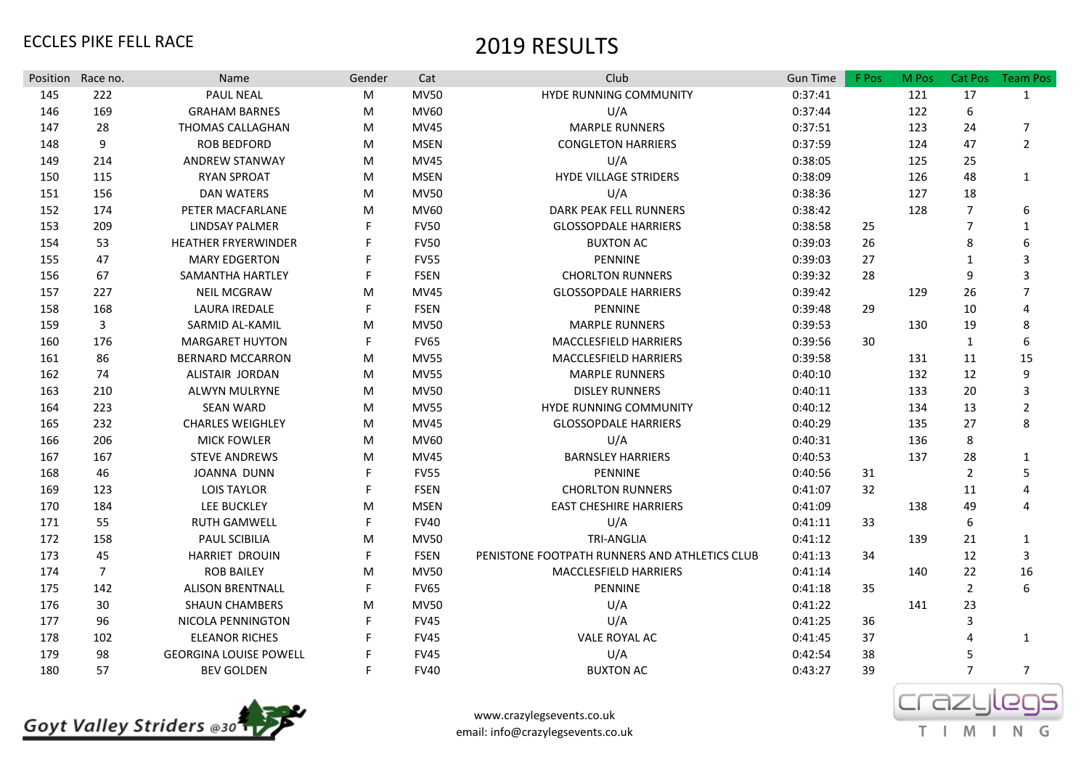| Position Race no. |                | Name                          | Gender | Cat         | Club                                          | <b>Gun Time</b> | F Pos | M Pos | Cat Pos        | <b>Team Pos</b>       |
|-------------------|----------------|-------------------------------|--------|-------------|-----------------------------------------------|-----------------|-------|-------|----------------|-----------------------|
| 145               | 222            | <b>PAUL NEAL</b>              | M      | <b>MV50</b> | HYDE RUNNING COMMUNITY                        | 0:37:41         |       | 121   | 17             | $\mathbf{1}$          |
| 146               | 169            | <b>GRAHAM BARNES</b>          | M      | <b>MV60</b> | U/A                                           | 0:37:44         |       | 122   | 6              |                       |
| 147               | 28             | THOMAS CALLAGHAN              | M      | MV45        | MARPLE RUNNERS                                | 0:37:51         |       | 123   | 24             | $\overline{7}$        |
| 148               | 9              | <b>ROB BEDFORD</b>            | M      | <b>MSEN</b> | <b>CONGLETON HARRIERS</b>                     | 0:37:59         |       | 124   | 47             | $\overline{2}$        |
| 149               | 214            | <b>ANDREW STANWAY</b>         | M      | <b>MV45</b> | U/A                                           | 0:38:05         |       | 125   | 25             |                       |
| 150               | 115            | <b>RYAN SPROAT</b>            | M      | <b>MSEN</b> | <b>HYDE VILLAGE STRIDERS</b>                  | 0:38:09         |       | 126   | 48             | $\mathbf{1}$          |
| 151               | 156            | <b>DAN WATERS</b>             | M      | <b>MV50</b> | U/A                                           | 0:38:36         |       | 127   | 18             |                       |
| 152               | 174            | PETER MACFARLANE              | M      | <b>MV60</b> | DARK PEAK FELL RUNNERS                        | 0:38:42         |       | 128   | $\overline{7}$ | 6                     |
| 153               | 209            | <b>LINDSAY PALMER</b>         |        | <b>FV50</b> | <b>GLOSSOPDALE HARRIERS</b>                   | 0:38:58         | 25    |       | $\overline{7}$ | 1                     |
| 154               | 53             | <b>HEATHER FRYERWINDER</b>    |        | <b>FV50</b> | <b>BUXTON AC</b>                              | 0:39:03         | 26    |       | 8              | 6                     |
| 155               | 47             | <b>MARY EDGERTON</b>          |        | <b>FV55</b> | PENNINE                                       | 0:39:03         | 27    |       | 1              | 3                     |
| 156               | 67             | SAMANTHA HARTLEY              |        | <b>FSEN</b> | <b>CHORLTON RUNNERS</b>                       | 0:39:32         | 28    |       | 9              | 3                     |
| 157               | 227            | <b>NEIL MCGRAW</b>            | M      | <b>MV45</b> | <b>GLOSSOPDALE HARRIERS</b>                   | 0:39:42         |       | 129   | 26             | 7                     |
| 158               | 168            | <b>LAURA IREDALE</b>          |        | <b>FSEN</b> | PENNINE                                       | 0:39:48         | 29    |       | 10             | $\overline{4}$        |
| 159               | 3              | SARMID AL-KAMIL               | M      | <b>MV50</b> | <b>MARPLE RUNNERS</b>                         | 0:39:53         |       | 130   | 19             | 8                     |
| 160               | 176            | <b>MARGARET HUYTON</b>        | F      | <b>FV65</b> | MACCLESFIELD HARRIERS                         | 0:39:56         | 30    |       | $\mathbf{1}$   | 6                     |
| 161               | 86             | <b>BERNARD MCCARRON</b>       | M      | <b>MV55</b> | MACCLESFIELD HARRIERS                         | 0:39:58         |       | 131   | 11             | 15                    |
| 162               | 74             | ALISTAIR JORDAN               | M      | <b>MV55</b> | <b>MARPLE RUNNERS</b>                         | 0:40:10         |       | 132   | 12             | 9                     |
| 163               | 210            | ALWYN MULRYNE                 | M      | <b>MV50</b> | <b>DISLEY RUNNERS</b>                         | 0:40:11         |       | 133   | 20             | 3                     |
| 164               | 223            | <b>SEAN WARD</b>              | M      | <b>MV55</b> | HYDE RUNNING COMMUNITY                        | 0:40:12         |       | 134   | 13             | $\overline{2}$        |
| 165               | 232            | <b>CHARLES WEIGHLEY</b>       | M      | <b>MV45</b> | <b>GLOSSOPDALE HARRIERS</b>                   | 0:40:29         |       | 135   | 27             | 8                     |
| 166               | 206            | <b>MICK FOWLER</b>            | M      | <b>MV60</b> | U/A                                           | 0:40:31         |       | 136   | 8              |                       |
| 167               | 167            | <b>STEVE ANDREWS</b>          | M      | <b>MV45</b> | <b>BARNSLEY HARRIERS</b>                      | 0:40:53         |       | 137   | 28             | 1                     |
| 168               | 46             | <b>JOANNA DUNN</b>            |        | <b>FV55</b> | <b>PENNINE</b>                                | 0:40:56         | 31    |       | $\overline{2}$ | 5                     |
| 169               | 123            | <b>LOIS TAYLOR</b>            |        | <b>FSEN</b> | <b>CHORLTON RUNNERS</b>                       | 0:41:07         | 32    |       | 11             | $\boldsymbol{\Delta}$ |
| 170               | 184            | <b>LEE BUCKLEY</b>            | M      | <b>MSEN</b> | <b>EAST CHESHIRE HARRIERS</b>                 | 0:41:09         |       | 138   | 49             | $\boldsymbol{\Delta}$ |
| 171               | 55             | <b>RUTH GAMWELL</b>           | F      | <b>FV40</b> | U/A                                           | 0:41:11         | 33    |       | 6              |                       |
| 172               | 158            | PAUL SCIBILIA                 | M      | <b>MV50</b> | <b>TRI-ANGLIA</b>                             | 0:41:12         |       | 139   | 21             | $\mathbf{1}$          |
| 173               | 45             | <b>HARRIET DROUIN</b>         | F.     | <b>FSEN</b> | PENISTONE FOOTPATH RUNNERS AND ATHLETICS CLUB | 0:41:13         | 34    |       | 12             | $\overline{3}$        |
| 174               | $\overline{7}$ | <b>ROB BAILEY</b>             | M      | <b>MV50</b> | <b>MACCLESFIELD HARRIERS</b>                  | 0:41:14         |       | 140   | 22             | 16                    |
| 175               | 142            | <b>ALISON BRENTNALL</b>       |        | <b>FV65</b> | <b>PENNINE</b>                                | 0:41:18         | 35    |       | $\overline{2}$ | 6                     |
| 176               | 30             | <b>SHAUN CHAMBERS</b>         | M      | <b>MV50</b> | U/A                                           | 0:41:22         |       | 141   | 23             |                       |
| 177               | 96             | NICOLA PENNINGTON             |        | <b>FV45</b> | U/A                                           | 0:41:25         | 36    |       | 3              |                       |
| 178               | 102            | <b>ELEANOR RICHES</b>         |        | <b>FV45</b> | VALE ROYAL AC                                 | 0:41:45         | 37    |       | 4              | 1                     |
| 179               | 98             | <b>GEORGINA LOUISE POWELL</b> |        | <b>FV45</b> | U/A                                           | 0:42:54         | 38    |       | 5              |                       |
| 180               | 57             | <b>BEV GOLDEN</b>             | F      | <b>FV40</b> | <b>BUXTON AC</b>                              | 0:43:27         | 39    |       | $\overline{7}$ | $\overline{7}$        |